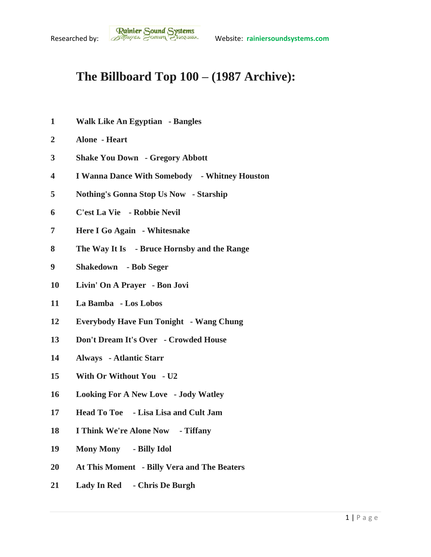## **The Billboard Top 100 – (1987 Archive):**

- **Walk Like An Egyptian - Bangles**
- **Alone - Heart**
- **Shake You Down - Gregory Abbott**
- **I Wanna Dance With Somebody - Whitney Houston**
- **Nothing's Gonna Stop Us Now - Starship**
- **C'est La Vie - Robbie Nevil**
- **Here I Go Again - Whitesnake**
- **The Way It Is - Bruce Hornsby and the Range**
- **Shakedown - Bob Seger**
- **Livin' On A Prayer - Bon Jovi**
- **La Bamba - Los Lobos**
- **Everybody Have Fun Tonight - Wang Chung**
- **Don't Dream It's Over - Crowded House**
- **Always - Atlantic Starr**
- **With Or Without You - U2**
- **Looking For A New Love - Jody Watley**
- **Head To Toe - Lisa Lisa and Cult Jam**
- **I Think We're Alone Now - Tiffany**
- **Mony Mony - Billy Idol**
- **At This Moment - Billy Vera and The Beaters**
- **Lady In Red - Chris De Burgh**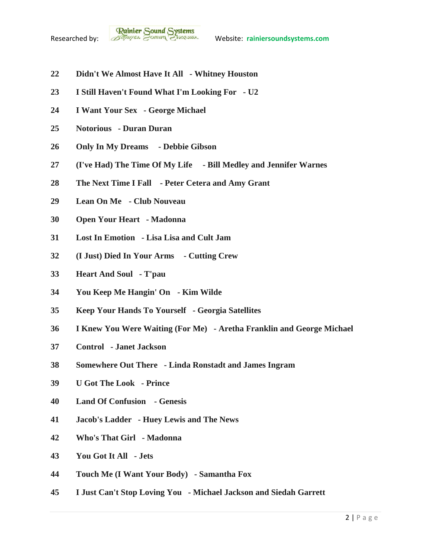

- **Didn't We Almost Have It All - Whitney Houston**
- **I Still Haven't Found What I'm Looking For - U2**
- **I Want Your Sex - George Michael**
- **Notorious - Duran Duran**
- **Only In My Dreams - Debbie Gibson**
- **(I've Had) The Time Of My Life - Bill Medley and Jennifer Warnes**
- **The Next Time I Fall - Peter Cetera and Amy Grant**
- **Lean On Me - Club Nouveau**
- **Open Your Heart - Madonna**
- **Lost In Emotion - Lisa Lisa and Cult Jam**
- **(I Just) Died In Your Arms - Cutting Crew**
- **Heart And Soul - T'pau**
- **You Keep Me Hangin' On - Kim Wilde**
- **Keep Your Hands To Yourself - Georgia Satellites**
- **I Knew You Were Waiting (For Me) - Aretha Franklin and George Michael**
- **Control - Janet Jackson**
- **Somewhere Out There - Linda Ronstadt and James Ingram**
- **U Got The Look - Prince**
- **Land Of Confusion - Genesis**
- **Jacob's Ladder - Huey Lewis and The News**
- **Who's That Girl - Madonna**
- **You Got It All - Jets**
- **Touch Me (I Want Your Body) - Samantha Fox**
- **I Just Can't Stop Loving You - Michael Jackson and Siedah Garrett**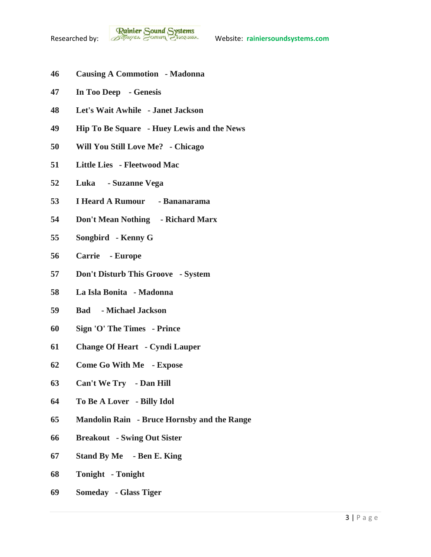- **Causing A Commotion - Madonna**
- **In Too Deep - Genesis**
- **Let's Wait Awhile - Janet Jackson**
- **Hip To Be Square - Huey Lewis and the News**
- **Will You Still Love Me? - Chicago**
- **Little Lies - Fleetwood Mac**
- **Luka - Suzanne Vega**
- **I Heard A Rumour - Bananarama**
- **Don't Mean Nothing - Richard Marx**
- **Songbird - Kenny G**
- **Carrie - Europe**
- **Don't Disturb This Groove - System**
- **La Isla Bonita - Madonna**
- **Bad - Michael Jackson**
- **Sign 'O' The Times - Prince**
- **Change Of Heart - Cyndi Lauper**
- **Come Go With Me - Expose**
- **Can't We Try - Dan Hill**
- **To Be A Lover - Billy Idol**
- **Mandolin Rain - Bruce Hornsby and the Range**
- **Breakout - Swing Out Sister**
- **Stand By Me - Ben E. King**
- **Tonight - Tonight**
- **Someday - Glass Tiger**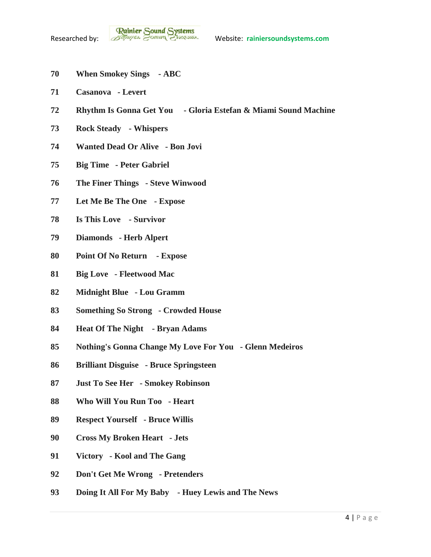- **When Smokey Sings - ABC**
- **Casanova - Levert**
- **Rhythm Is Gonna Get You - Gloria Estefan & Miami Sound Machine**
- **Rock Steady - Whispers**
- **Wanted Dead Or Alive - Bon Jovi**
- **Big Time - Peter Gabriel**
- **The Finer Things - Steve Winwood**
- **Let Me Be The One - Expose**
- **Is This Love - Survivor**
- **Diamonds - Herb Alpert**
- **Point Of No Return - Expose**
- **Big Love - Fleetwood Mac**
- **Midnight Blue - Lou Gramm**
- **Something So Strong - Crowded House**
- **Heat Of The Night - Bryan Adams**
- **Nothing's Gonna Change My Love For You - Glenn Medeiros**
- **Brilliant Disguise - Bruce Springsteen**
- **Just To See Her - Smokey Robinson**
- **Who Will You Run Too - Heart**
- **Respect Yourself - Bruce Willis**
- **Cross My Broken Heart - Jets**
- **Victory - Kool and The Gang**
- **Don't Get Me Wrong - Pretenders**
- **Doing It All For My Baby - Huey Lewis and The News**